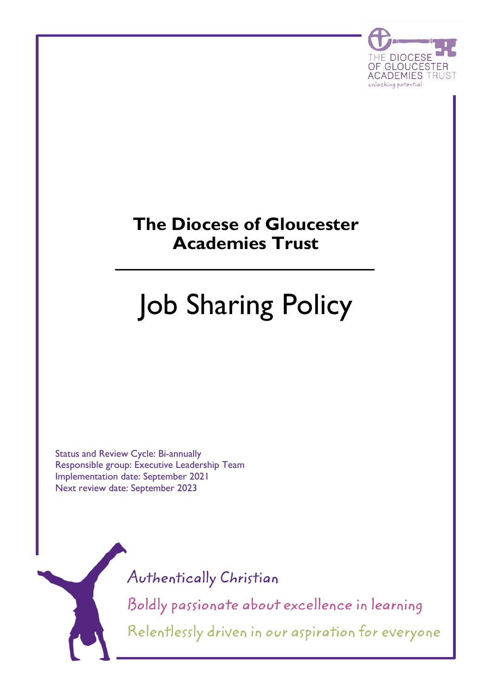

# **The Diocese of Gloucester Academies Trust**

# Job Sharing Policy

Status and Review Cycle: Bi-annually Responsible group: Executive Leadership Team Implementation date: September 2021 Next review date: September 2023

Authentically Christian

Boldly passionate about excellence in learning Relentlessly driven in our aspiration for everyone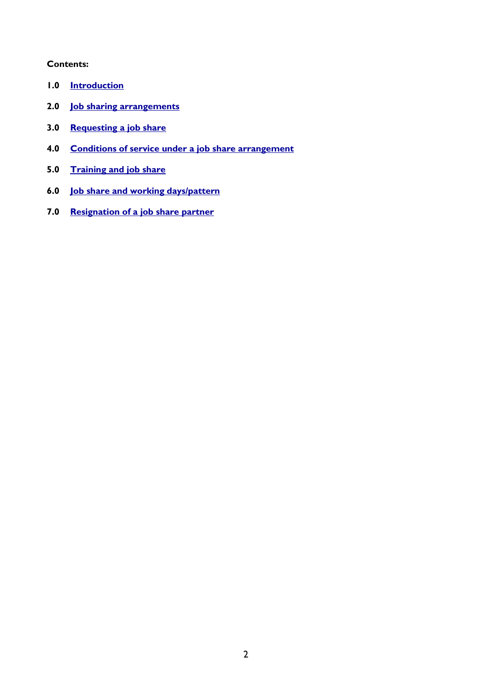# **Contents:**

- **1.0 [Introduction](#page-2-0)**
- **2.0 [Job sharing arrangements](#page-2-1)**
- **3.0 [Requesting a job share](#page-2-2)**
- **4.0 [Conditions of service under a job share arrangement](#page-2-3)**
- **5.0 [Training and job share](#page-3-0)**
- **6.0 [Job share and working days/pattern](#page-3-1)**
- **7.0 [Resignation of a job share partner](#page-3-2)**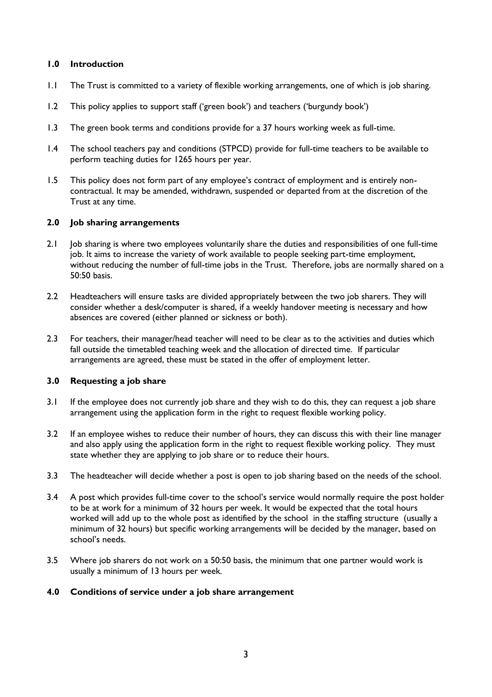#### <span id="page-2-0"></span>**1.0 Introduction**

- 1.1 The Trust is committed to a variety of flexible working arrangements, one of which is job sharing.
- 1.2 This policy applies to support staff ('green book') and teachers ('burgundy book')
- 1.3 The green book terms and conditions provide for a 37 hours working week as full-time.
- 1.4 The school teachers pay and conditions (STPCD) provide for full-time teachers to be available to perform teaching duties for 1265 hours per year.
- 1.5 This policy does not form part of any employee's contract of employment and is entirely noncontractual. It may be amended, withdrawn, suspended or departed from at the discretion of the Trust at any time.

#### <span id="page-2-1"></span>**2.0 Job sharing arrangements**

- 2.1 Job sharing is where two employees voluntarily share the duties and responsibilities of one full-time job. It aims to increase the variety of work available to people seeking part-time employment, without reducing the number of full-time jobs in the Trust. Therefore, jobs are normally shared on a 50:50 basis.
- 2.2 Headteachers will ensure tasks are divided appropriately between the two job sharers. They will consider whether a desk/computer is shared, if a weekly handover meeting is necessary and how absences are covered (either planned or sickness or both).
- 2.3 For teachers, their manager/head teacher will need to be clear as to the activities and duties which fall outside the timetabled teaching week and the allocation of directed time. If particular arrangements are agreed, these must be stated in the offer of employment letter.

#### <span id="page-2-2"></span>**3.0 Requesting a job share**

- 3.1 If the employee does not currently job share and they wish to do this, they can request a job share arrangement using the application form in the right to request flexible working policy.
- 3.2 If an employee wishes to reduce their number of hours, they can discuss this with their line manager and also apply using the application form in the right to request flexible working policy. They must state whether they are applying to job share or to reduce their hours.
- 3.3 The headteacher will decide whether a post is open to job sharing based on the needs of the school.
- 3.4 A post which provides full-time cover to the school's service would normally require the post holder to be at work for a minimum of 32 hours per week. It would be expected that the total hours worked will add up to the whole post as identified by the school in the staffing structure (usually a minimum of 32 hours) but specific working arrangements will be decided by the manager, based on school's needs.
- 3.5 Where job sharers do not work on a 50:50 basis, the minimum that one partner would work is usually a minimum of 13 hours per week.

#### <span id="page-2-3"></span>**4.0 Conditions of service under a job share arrangement**